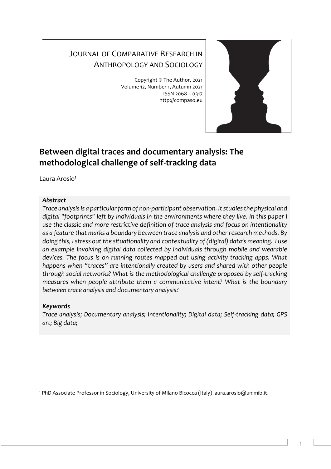# JOURNAL OF COMPARATIVE RESEARCH IN ANTHROPOLOGY AND SOCIOLOGY

Copyright © The Author, 2021 Volume 12, Number 1, Autumn 2021 ISSN 2068 – 0317 http://compaso.eu



## **Between digital traces and documentary analysis: The methodological challenge of self-tracking data**

Laura Arosio<sup>1</sup>

## *Abstract*

*Trace analysis is a particular form of non-participant observation. It studies the physical and digital "footprints" left by individuals in the environments where they live. In this paper I use the classic and more restrictive definition of trace analysis and focus on intentionality as a feature that marks a boundary between trace analysis and other research methods. By doing this, I stress out the situationality and contextuality of (digital) data's meaning. I use an example involving digital data collected by individuals through mobile and wearable devices. The focus is on running routes mapped out using activity tracking apps. What happens when "traces" are intentionally created by users and shared with other people through social networks? What is the methodological challenge proposed by self-tracking measures when people attribute them a communicative intent? What is the boundary between trace analysis and documentary analysis?*

## *Keywords*

*Trace analysis; Documentary analysis; Intentionality; Digital data; Self-tracking data; GPS art; Big data;*

<sup>1</sup> PhD Associate Professor in Sociology, University of Milano Bicocca (Italy) laura.arosio@unimib.it.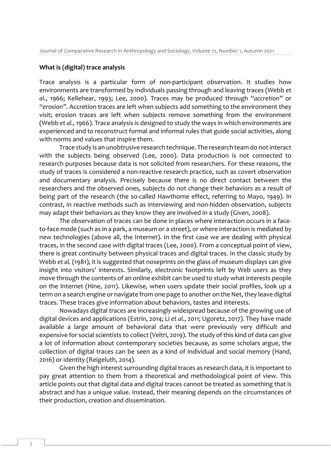#### **What is (digital) trace analysis**

Trace analysis is a particular form of non-participant observation. It studies how environments are transformed by individuals passing through and leaving traces (Webb *et al*., 1966; Kellehear, 1993; Lee, 2000). Traces may be produced through *"accretion"* or *"erosion".* Accretion traces are left when subjects add something to the environment they visit; erosion traces are left when subjects remove something from the environment (Webb *et al.,* 1966). Trace analysis is designed to study the ways in which environments are experienced and to reconstruct formal and informal rules that guide social activities, along with norms and values that inspire them.

Trace study is an unobtrusive research technique. The research team do not interact with the subjects being observed (Lee, 2000). Data production is not connected to research purposes because data is not solicited from researchers. For these reasons, the study of traces is considered a non-reactive research practice, such as covert observation and documentary analysis. Precisely because there is no direct contact between the researchers and the observed ones, subjects do not change their behaviors as a result of being part of the research (the so-called Hawthorne effect, referring to Mayo, 1949). In contrast, in reactive methods such as interviewing and non-hidden observation, subjects may adapt their behaviors as they know they are involved in a study (Given, 2008).

The observation of traces can be done in places where interaction occurs in a faceto-face mode (such as in a park, a museum or a street), or where interaction is mediated by new technologies (above all, the Internet). In the first case we are dealing with physical traces, in the second case with digital traces (Lee, 2000). From a conceptual point of view, there is great continuity between physical traces and digital traces. In the classic study by Webb *et al.* (1981), it is suggested that noseprints on the glass of museum displays can give insight into visitors' interests. Similarly, electronic footprints left by Web users as they move through the contents of an online exhibit can be used to study what interests people on the Internet (Hine, 2011). Likewise, when users update their social profiles, look up a term on a search engine or navigate from one page to another on the Net, they leave digital traces. These traces give information about behaviors, tastes and interests.

Nowadays digital traces are increasingly widespread because of the growing use of digital devices and applications (Estrin, 2014; Li *et al.*, 2011; Ugoretz, 2017). They have made available a large amount of behavioral data that were previously very difficult and expensive for social scientists to collect (Veltri, 2019). The study of this kind of data can give a lot of information about contemporary societies because, as some scholars argue, the collection of digital traces can be seen as a kind of individual and social memory (Hand, 2016) or identity (Reigeluth, 2014).

Given the high interest surrounding digital traces as research data, it is important to pay great attention to them from a theoretical and methodological point of view. This article points out that digital data and digital traces cannot be treated as something that is abstract and has a unique value. Instead, their meaning depends on the circumstances of their production, creation and dissemination.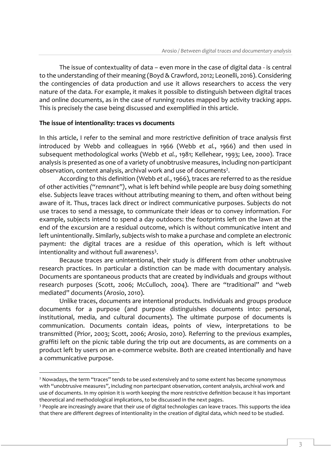The issue of contextuality of data – even more in the case of digital data - is central to the understanding of their meaning (Boyd & Crawford, 2012; Leonelli, 2016). Considering the contingencies of data production and use it allows researchers to access the very nature of the data. For example, it makes it possible to distinguish between digital traces and online documents, as in the case of running routes mapped by activity tracking apps. This is precisely the case being discussed and exemplified in this article.

## **The issue of intentionality: traces vs documents**

In this article, I refer to the seminal and more restrictive definition of trace analysis first introduced by Webb and colleagues in 1966 (Webb *et al.*, 1966) and then used in subsequent methodological works (Webb *et al.*, 1981; Kellehear, 1993; Lee, 2000). Trace analysis is presented as one of a variety of unobtrusive measures, including non-participant observation, content analysis, archival work and use of documents<sup>2</sup>.

According to this definition (Webb *et al.*, 1966), traces are referred to as the residue of other activities *("remnant")*, what is left behind while people are busy doing something else. Subjects leave traces without attributing meaning to them, and often without being aware of it. Thus, traces lack direct or indirect communicative purposes. Subjects do not use traces to send a message, to communicate their ideas or to convey information. For example, subjects intend to spend a day outdoors: the footprints left on the lawn at the end of the excursion are a residual outcome, which is without communicative intent and left unintentionally. Similarly, subjects wish to make a purchase and complete an electronic payment: the digital traces are a residue of this operation, which is left without intentionality and without full awareness<sup>3</sup>.

Because traces are unintentional, their study is different from other unobtrusive research practices. In particular a distinction can be made with documentary analysis. Documents are spontaneous products that are created by individuals and groups without research purposes (Scott, 2006; McCulloch, 2004). There are "traditional" and "web mediated" documents (Arosio, 2010).

Unlike traces, documents are intentional products. Individuals and groups produce documents for a purpose (and purpose distinguishes documents into: personal, institutional, media, and cultural documents). The ultimate purpose of documents is communication. Documents contain ideas, points of view, interpretations to be transmitted (Prior, 2003; Scott, 2006; Arosio, 2010). Referring to the previous examples, graffiti left on the picnic table during the trip out are documents, as are comments on a product left by users on an e-commerce website. Both are created intentionally and have a communicative purpose.

<sup>&</sup>lt;sup>2</sup> Nowadays, the term "traces" tends to be used extensively and to some extent has become synonymous with "unobtrusive measures", including non partecipant observation, content analysis, archival work and use of documents. In my opinion it is worth keeping the more restrictive definition because it has important theoretical and methodological implications, to be discussed in the next pages.

<sup>&</sup>lt;sup>3</sup> People are increasingly aware that their use of digital technologies can leave traces. This supports the idea that there are different degrees of intentionality in the creation of digital data, which need to be studied.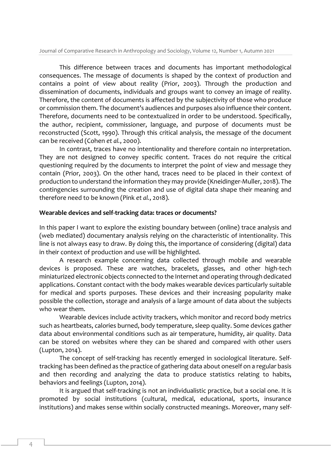This difference between traces and documents has important methodological consequences. The message of documents is shaped by the context of production and contains a point of view about reality (Prior, 2003). Through the production and dissemination of documents, individuals and groups want to convey an image of reality. Therefore, the content of documents is affected by the subjectivity of those who produce or commission them. The document's audiences and purposes also influence their content. Therefore, documents need to be contextualized in order to be understood. Specifically, the author, recipient, commissioner, language, and purpose of documents must be reconstructed (Scott, 1990). Through this critical analysis, the message of the document can be received (Cohen *et al.*, 2000).

In contrast, traces have no intentionality and therefore contain no interpretation. They are not designed to convey specific content. Traces do not require the critical questioning required by the documents to interpret the point of view and message they contain (Prior, 2003). On the other hand, traces need to be placed in their context of production to understand the information they may provide (Kneidinger-Muller, 2018). The contingencies surrounding the creation and use of digital data shape their meaning and therefore need to be known (Pink *et al.*, 2018).

#### **Wearable devices and self-tracking data: traces or documents?**

In this paper I want to explore the existing boundary between (online) trace analysis and (web mediated) documentary analysis relying on the characteristic of intentionality. This line is not always easy to draw. By doing this, the importance of considering (digital) data in their context of production and use will be highlighted.

A research example concerning data collected through mobile and wearable devices is proposed. These are watches, bracelets, glasses, and other high-tech miniaturized electronic objects connected to the Internet and operating through dedicated applications. Constant contact with the body makes wearable devices particularly suitable for medical and sports purposes. These devices and their increasing popularity make possible the collection, storage and analysis of a large amount of data about the subjects who wear them.

Wearable devices include activity trackers, which monitor and record body metrics such as heartbeats, calories burned, body temperature, sleep quality. Some devices gather data about environmental conditions such as air temperature, humidity, air quality. Data can be stored on websites where they can be shared and compared with other users (Lupton, 2014).

The concept of self-tracking has recently emerged in sociological literature. Selftracking has been defined as the practice of gathering data about oneself on a regular basis and then recording and analyzing the data to produce statistics relating to habits, behaviors and feelings (Lupton, 2014).

It is argued that self-tracking is not an individualistic practice, but a social one. It is promoted by social institutions (cultural, medical, educational, sports, insurance institutions) and makes sense within socially constructed meanings. Moreover, many self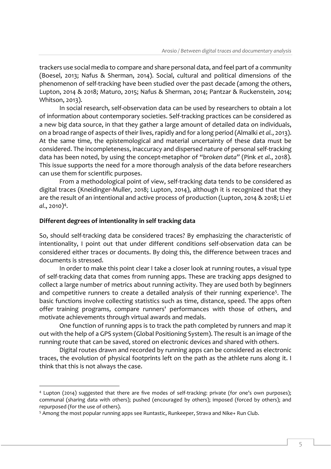trackers use social media to compare and share personal data, and feel part of a community (Boesel, 2013; Nafus & Sherman, 2014). Social, cultural and political dimensions of the phenomenon of self-tracking have been studied over the past decade (among the others, Lupton, 2014 & 2018; Maturo, 2015; Nafus & Sherman, 2014; Pantzar & Ruckenstein, 2014; Whitson, 2013).

In social research, self-observation data can be used by researchers to obtain a lot of information about contemporary societies. Self-tracking practices can be considered as a new big data source, in that they gather a large amount of detailed data on individuals, on a broad range of aspects of their lives, rapidly and for a long period (Almalki *et al.*, 2013). At the same time, the epistemological and material uncertainty of these data must be considered. The incompleteness, inaccuracy and dispersed nature of personal self-tracking data has been noted, by using the concept-metaphor of *"broken data"* (Pink *et al.*, 2018). This issue supports the need for a more thorough analysis of the data before researchers can use them for scientific purposes.

From a methodological point of view, self-tracking data tends to be considered as digital traces (Kneidinger-Muller, 2018; Lupton, 2014), although it is recognized that they are the result of an intentional and active process of production (Lupton, 2014 & 2018; Li *et al*., 2010)<sup>4</sup> .

## **Different degrees of intentionality in self tracking data**

So, should self-tracking data be considered traces? By emphasizing the characteristic of intentionality, I point out that under different conditions self-observation data can be considered either traces or documents. By doing this, the difference between traces and documents is stressed.

In order to make this point clear I take a closer look at running routes, a visual type of self-tracking data that comes from running apps. These are tracking apps designed to collect a large number of metrics about running activity. They are used both by beginners and competitive runners to create a detailed analysis of their running experience<sup>5</sup>. The basic functions involve collecting statistics such as time, distance, speed. The apps often offer training programs, compare runners' performances with those of others, and motivate achievements through virtual awards and medals.

One function of running apps is to track the path completed by runners and map it out with the help of a GPS system (Global Positioning System). The result is an image of the running route that can be saved, stored on electronic devices and shared with others.

Digital routes drawn and recorded by running apps can be considered as electronic traces, the evolution of physical footprints left on the path as the athlete runs along it. I think that this is not always the case.

<sup>4</sup> Lupton (2014) suggested that there are five modes of self-tracking: private (for one's own purposes); communal (sharing data with others); pushed (encouraged by others); imposed (forced by others); and repurposed (for the use of others).

<sup>5</sup> Among the most popular running apps see Runtastic, Runkeeper, Strava and Nike+ Run Club.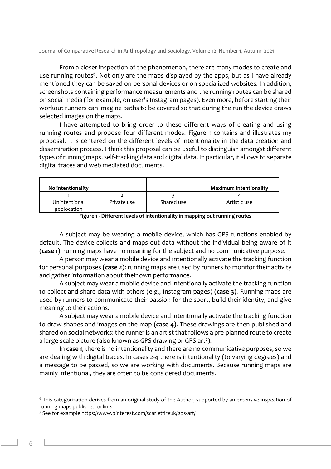From a closer inspection of the phenomenon, there are many modes to create and use running routes<sup>6</sup>. Not only are the maps displayed by the apps, but as I have already mentioned they can be saved on personal devices or on specialized websites. In addition, screenshots containing performance measurements and the running routes can be shared on social media (for example, on user's Instagram pages). Even more, before starting their workout runners can imagine paths to be covered so that during the run the device draws selected images on the maps.

I have attempted to bring order to these different ways of creating and using running routes and propose four different modes. Figure 1 contains and illustrates my proposal. It is centered on the different levels of intentionality in the data creation and dissemination process. I think this proposal can be useful to distinguish amongst different types of running maps, self-tracking data and digital data. In particular, it allows to separate digital traces and web mediated documents.

| No intentionality            |             |            | <b>Maximum Intentionality</b> |
|------------------------------|-------------|------------|-------------------------------|
|                              |             |            |                               |
| Unintentional<br>geolocation | Private use | Shared use | Artistic use                  |

| Figure 1 - Different levels of intentionality in mapping out running routes |  |  |
|-----------------------------------------------------------------------------|--|--|
|-----------------------------------------------------------------------------|--|--|

A subject may be wearing a mobile device, which has GPS functions enabled by default. The device collects and maps out data without the individual being aware of it **(case 1)**: running maps have no meaning for the subject and no communicative purpose.

A person may wear a mobile device and intentionally activate the tracking function for personal purposes **(case 2)**: running maps are used by runners to monitor their activity and gather information about their own performance.

A subject may wear a mobile device and intentionally activate the tracking function to collect and share data with others (e.g., Instagram pages) **(case 3)**. Running maps are used by runners to communicate their passion for the sport, build their identity, and give meaning to their actions.

A subject may wear a mobile device and intentionally activate the tracking function to draw shapes and images on the map **(case 4)**. These drawings are then published and shared on social networks: the runner is an artist that follows a pre-planned route to create a large-scale picture (also known as GPS drawing or GPS art<sup>7</sup> ).

In **case 1**, there is no intentionality and there are no communicative purposes, so we are dealing with digital traces. In cases 2-4 there is intentionality (to varying degrees) and a message to be passed, so we are working with documents. Because running maps are mainly intentional, they are often to be considered documents.

<sup>6</sup> This categorization derives from an original study of the Author, supported by an extensive inspection of running maps published online.

<sup>7</sup> See for example https://www.pinterest.com/scarletfireuk/gps-art/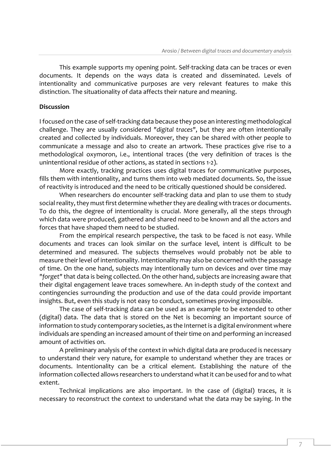This example supports my opening point. Self-tracking data can be traces or even documents. It depends on the ways data is created and disseminated. Levels of intentionality and communicative purposes are very relevant features to make this distinction. The situationality of data affects their nature and meaning.

## **Discussion**

I focused on the case of self-tracking data because they pose an interesting methodological challenge. They are usually considered *"digital traces"*, but they are often intentionally created and collected by individuals. Moreover, they can be shared with other people to communicate a message and also to create an artwork. These practices give rise to a methodological oxymoron, i.e., intentional traces (the very definition of traces is the unintentional residue of other actions, as stated in sections 1-2).

More exactly, tracking practices uses digital traces for communicative purposes, fills them with intentionality, and turns them into web mediated documents. So, the issue of reactivity is introduced and the need to be critically questioned should be considered.

When researchers do encounter self-tracking data and plan to use them to study social reality, they must first determine whether they are dealing with traces or documents. To do this, the degree of intentionality is crucial. More generally, all the steps through which data were produced, gathered and shared need to be known and all the actors and forces that have shaped them need to be studied.

From the empirical research perspective, the task to be faced is not easy. While documents and traces can look similar on the surface level, intent is difficult to be determined and measured. The subjects themselves would probably not be able to measure their level of intentionality. Intentionality may also be concerned with the passage of time. On the one hand, subjects may intentionally turn on devices and over time may *"forget"* that data is being collected. On the other hand, subjects are increasing aware that their digital engagement leave traces somewhere. An in-depth study of the context and contingencies surrounding the production and use of the data could provide important insights. But, even this study is not easy to conduct, sometimes proving impossible.

The case of self-tracking data can be used as an example to be extended to other (digital) data. The data that is stored on the Net is becoming an important source of information to study contemporary societies, as the Internet is a digital environment where individuals are spending an increased amount of their time on and performing an increased amount of activities on.

A preliminary analysis of the context in which digital data are produced is necessary to understand their very nature, for example to understand whether they are traces or documents. Intentionality can be a critical element. Establishing the nature of the information collected allows researchers to understand what it can be used for and to what extent.

Technical implications are also important. In the case of (digital) traces, it is necessary to reconstruct the context to understand what the data may be saying. In the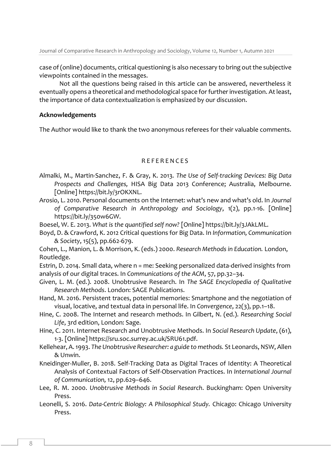case of (online) documents, critical questioning is also necessary to bring out the subjective viewpoints contained in the messages.

Not all the questions being raised in this article can be answered, nevertheless it eventually opens a theoretical and methodological space for further investigation. At least, the importance of data contextualization is emphasized by our discussion.

## **Acknowledgements**

The Author would like to thank the two anonymous referees for their valuable comments.

## R E F E R E N C E S

- Almalki, M., Martin-Sanchez, F. & Gray, K. 2013*. The Use of Self-tracking Devices: Big Data Prospects and Challenges,* HISA Big Data 2013 Conference; Australia, Melbourne. [Online] https://bit.ly/3rOKXNL.
- Arosio, L. 2010. Personal documents on the Internet: what's new and what's old. In *Journal of Comparative Research in Anthropology and Sociology*, 1(2), pp.1-16. [Online] https://bit.ly/350w6GW.
- Boesel, W. E. 2013. *What is the quantified self now?* [Online] https://bit.ly/3JAkLML.
- Boyd, D. & Crawford, K. 2012 Critical questions for Big Data. In *Information, Communication & Society*, 15(5), pp.662-679.

Cohen, L., Manion, L. & Morrison, K. (eds.) 2000. *Research Methods in Education.* London, Routledge.

Estrin, D. 2014. Small data, where n = me: Seeking personalized data-derived insights from analysis of our digital traces. In *Communications of the ACM*, 57, pp.32–34.

- Given, L. M. (ed.). 2008. Unobtrusive Research. In *The SAGE Encyclopedia of Qualitative Research Methods*. London: SAGE Publications.
- Hand, M. 2016. Persistent traces, potential memories: Smartphone and the negotiation of visual, locative, and textual data in personal life. In *Convergence*, 22(3), pp.1–18.
- Hine, C. 2008. The Internet and research methods. In Gilbert, N. (ed.). *Researching Social Life*, 3rd edition, London: Sage.
- Hine, C. 2011. Internet Research and Unobtrusive Methods. In *Social Research Update*, (61), 1-3. [Online] https://sru.soc.surrey.ac.uk/SRU61.pdf.
- Kellehear, A. 1993. *The Unobtrusive Researcher: a guide to methods.* St Leonards, NSW, Allen & Unwin.
- Kneidinger-Muller, B. 2018. Self-Tracking Data as Digital Traces of Identity: A Theoretical Analysis of Contextual Factors of Self-Observation Practices. In *International Journal of Communication,* 12, pp.629–646.
- Lee, R. M. 2000. *Unobtrusive Methods in Social Research*. Buckingham: Open University Press.
- Leonelli, S. 2016. *Data-Centric Biology: A Philosophical Study.* Chicago: Chicago University Press.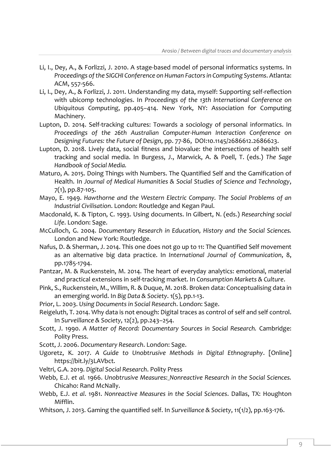- Li, I., Dey, A., & Forlizzi, J. 2010. A stage-based model of personal informatics systems. In *Proceedings of the SIGCHI Conference on Human Factors in Computing Systems*. Atlanta: ACM, 557-566.
- Li, I., Dey, A., & Forlizzi, J. 2011. Understanding my data, myself: Supporting self-reflection with ubicomp technologies. In *Proceedings of the 13th International Conference on Ubiquitous Computing*, pp.405–414. New York, NY: Association for Computing Machinery.
- Lupton, D. 2014. Self-tracking cultures: Towards a sociology of personal informatics. In *Proceedings of the 26th Australian Computer-Human Interaction Conference on Designing Futures: the Future of Design*, pp. 77-86, DOI:10.1145/2686612.2686623.
- Lupton, D. 2018. Lively data, social fitness and biovalue: the intersections of health self tracking and social media. In Burgess, J., Marwick, A. & Poell, T. (eds.) *The Sage Handbook of Social Media.*
- Maturo, A. 2015. Doing Things with Numbers. The Quantified Self and the Gamification of Health. In *Journal of Medical Humanities & Social Studies of Science and Technology*, 7(1), pp.87-105.
- Mayo, E. 1949. *Hawthorne and the Western Electric Company. The Social Problems of an Industrial Civilisation*. London: Routledge and Kegan Paul.
- Macdonald, K. & Tipton, C. 1993. Using documents. In Gilbert, N. (eds.) *Researching social Life*. London: Sage.
- McCulloch, G. 2004. *Documentary Research in Education, History and the Social Sciences.* London and New York: Routledge.
- Nafus, D. & Sherman, J. 2014. This one does not go up to 11: The Quantified Self movement as an alternative big data practice. In *International Journal of Communication*, 8, pp.1785-1794.
- Pantzar, M. & Ruckenstein, M. 2014. The heart of everyday analytics: emotional, material and practical extensions in self-tracking market. In *Consumption Markets & Culture*.
- Pink, S., Ruckenstein, M., Willim, R. & Duque, M. 2018. Broken data: Conceptualising data in an emerging world. In *Big Data & Society*. 1(5), pp.1-13.
- Prior, L. 2003. *Using Documents in Social Research*. London: Sage.
- Reigeluth, T. 2014. Why data is not enough: Digital traces as control of self and self control. In *Surveillance & Society*, 12(2), pp.243–254.
- Scott, J. 1990. *A Matter of Record: Documentary Sources in Social Research.* Cambridge: Polity Press.
- Scott, J. 2006. *Documentary Research*. London: Sage.
- Ugoretz, K. 2017. *A Guide to Unobtrusive Methods in Digital Ethnography*. [Online] https://bit.ly/3LAVbct.
- Veltri, G.A. 2019. *Digital Social Research*. Polity Press
- Webb, E.J. *et al.* 1966. *Unobtrusive Measures: Nonreactive Research in the Social Sciences.* Chicaho: Rand McNally.
- Webb, E.J. *et al*. 1981. *Nonreactive Measures in the Social Sciences*. Dallas, TX: Houghton Mifflin.
- Whitson, J. 2013. Gaming the quantified self. In *Surveillance & Society*, 11(1/2), pp.163-176.